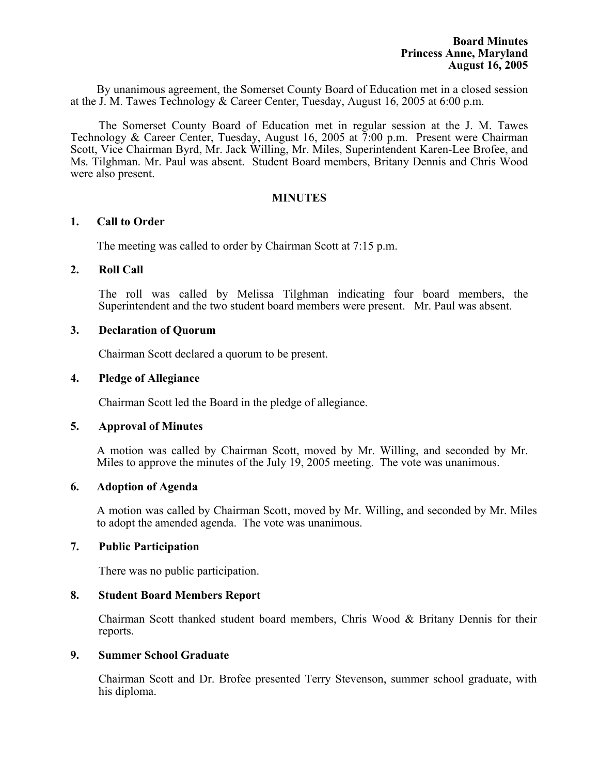By unanimous agreement, the Somerset County Board of Education met in a closed session at the J. M. Tawes Technology & Career Center, Tuesday, August 16, 2005 at 6:00 p.m.

The Somerset County Board of Education met in regular session at the J. M. Tawes Technology & Career Center, Tuesday, August 16, 2005 at 7:00 p.m. Present were Chairman Scott, Vice Chairman Byrd, Mr. Jack Willing, Mr. Miles, Superintendent Karen-Lee Brofee, and Ms. Tilghman. Mr. Paul was absent. Student Board members, Britany Dennis and Chris Wood were also present.

### **MINUTES**

### **1. Call to Order**

The meeting was called to order by Chairman Scott at 7:15 p.m.

### **2. Roll Call**

The roll was called by Melissa Tilghman indicating four board members, the Superintendent and the two student board members were present. Mr. Paul was absent.

### **3. Declaration of Quorum**

Chairman Scott declared a quorum to be present.

### **4. Pledge of Allegiance**

Chairman Scott led the Board in the pledge of allegiance.

### **5. Approval of Minutes**

 A motion was called by Chairman Scott, moved by Mr. Willing, and seconded by Mr. Miles to approve the minutes of the July 19, 2005 meeting. The vote was unanimous.

### **6. Adoption of Agenda**

A motion was called by Chairman Scott, moved by Mr. Willing, and seconded by Mr. Miles to adopt the amended agenda. The vote was unanimous.

## **7. Public Participation**

There was no public participation.

### **8. Student Board Members Report**

Chairman Scott thanked student board members, Chris Wood & Britany Dennis for their reports.

### **9. Summer School Graduate**

Chairman Scott and Dr. Brofee presented Terry Stevenson, summer school graduate, with his diploma.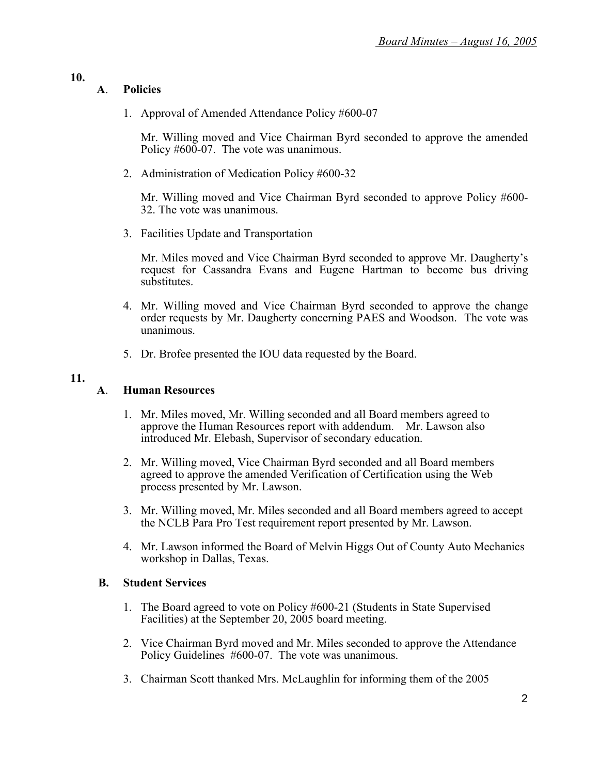#### **10. A**. **Policies**

1. Approval of Amended Attendance Policy #600-07

Mr. Willing moved and Vice Chairman Byrd seconded to approve the amended Policy #600-07. The vote was unanimous.

2. Administration of Medication Policy #600-32

Mr. Willing moved and Vice Chairman Byrd seconded to approve Policy #600- 32. The vote was unanimous.

3. Facilities Update and Transportation

Mr. Miles moved and Vice Chairman Byrd seconded to approve Mr. Daugherty's request for Cassandra Evans and Eugene Hartman to become bus driving substitutes.

- 4. Mr. Willing moved and Vice Chairman Byrd seconded to approve the change order requests by Mr. Daugherty concerning PAES and Woodson. The vote was unanimous.
- 5. Dr. Brofee presented the IOU data requested by the Board.

# **11.**

# **A**. **Human Resources**

- 1. Mr. Miles moved, Mr. Willing seconded and all Board members agreed to approve the Human Resources report with addendum. Mr. Lawson also introduced Mr. Elebash, Supervisor of secondary education.
- 2. Mr. Willing moved, Vice Chairman Byrd seconded and all Board members agreed to approve the amended Verification of Certification using the Web process presented by Mr. Lawson.
- 3. Mr. Willing moved, Mr. Miles seconded and all Board members agreed to accept the NCLB Para Pro Test requirement report presented by Mr. Lawson.
- 4. Mr. Lawson informed the Board of Melvin Higgs Out of County Auto Mechanics workshop in Dallas, Texas.

# **B. Student Services**

- 1. The Board agreed to vote on Policy #600-21 (Students in State Supervised Facilities) at the September 20, 2005 board meeting.
- 2. Vice Chairman Byrd moved and Mr. Miles seconded to approve the Attendance Policy Guidelines #600-07. The vote was unanimous.
- 3. Chairman Scott thanked Mrs. McLaughlin for informing them of the 2005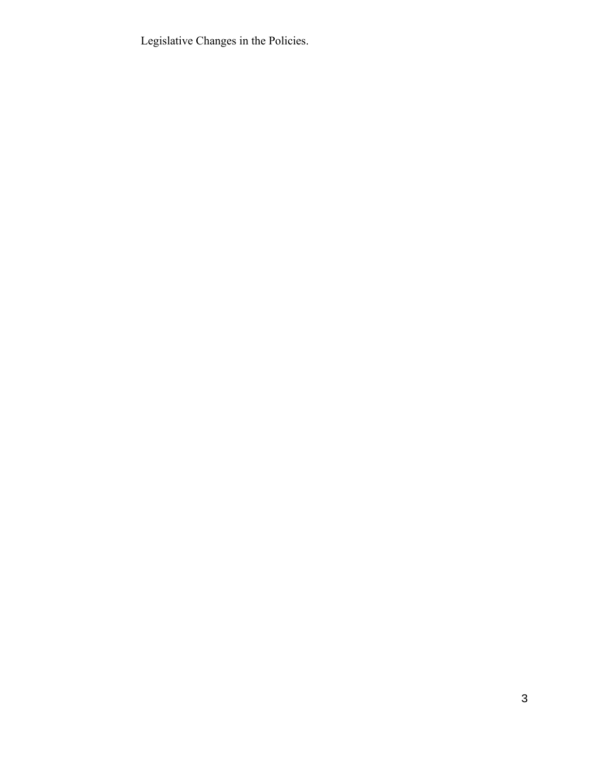Legislative Changes in the Policies.